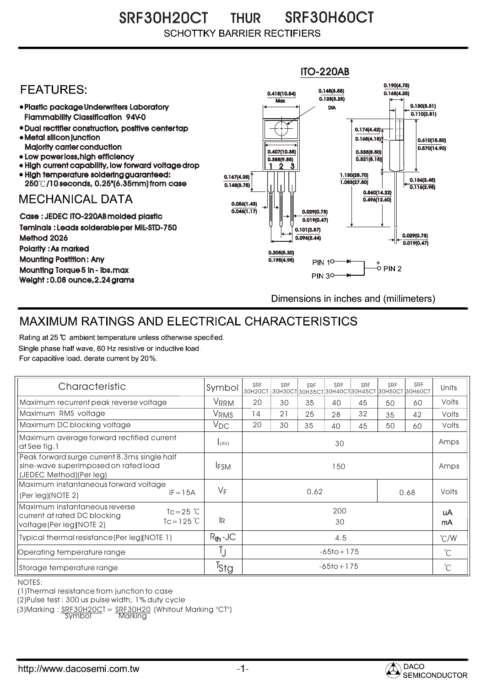SRF30H20CT THUR SRF30H60CT **SCHOTTKY BARRIER RECTIFIERS** 

## ITO-220AB 0.190(4.75) **FFATURFS:** 0.145(3.55) 0.415(10.54) 0.165(4.25)  $Max \overline{0.128(3.25)}$ Plastic package Underwriters Laboratory 0.130(3.31) DIA  $0.110(2.81)$ Flammability Classification 94V-0 Dual rectifier construction, positive center tap 0.174(4.42) Metal silicon junction  $0.165(4.18)$ 0.610(15.50) Majority carrier conduction  $0.570(14.90)$ 0.407(10.35) 0.335(8.50) • Low power loss, high efficiency  $0.321(8.15)$ 0.388(9.85) High current capability, low forward voltage drop 2 1 3 High temperature soldering guaranteed: 1.130(28.70) 0.167(4.25) 250 /10 seconds, 0.25"(6.35mm) from case 1.083(27.50) 0.136(3.45) 0.148(3.75) 0.116(2.95) 0.560(14.22) **MECHANICAL DATA**  $0.496(12.60)$ 0.056(1.43)  $\overline{0.046(1.17)}$   $\rightarrow$   $\|$   $\uparrow$   $\|$   $\|$  0.029(0.73) Case : JEDEC ITO-220AB molded plastic  $0.019(0.47)$ Teminals : Leads solderable per MIL-STD-750 0.101(2.57) 0.029(0.73) Method 2026  $0.096(2.44)$  $0.019(0.47)$ Polarity : As marked 0.205(5.20) Mounting Postition : Any 0.195(4.95) **PIN 10-**Mounting Torque 5 in - lbs.max **PIN 30-**Weight : 0.08 ounce,2.24 grams Dimensions in inches and (millimeters)

## MAXIMUM RATINGS AND ELECTRICAL CHARACTERISTICS

Rating at 25 °C ambient temperature unless otherwise specified. Single phase half wave, 60 Hz resistive or inductive load. For capacitive load, derate current by 20%.

| Characteristic                                                                                                                            | Symbol           | SRF<br>ЗОН2ОСТ ЗОНЗОСТ ЗОНЗБСТ ЗОН4ОСТ ЗОН45СТ ЗОН5ОСТ ЗОН6ОСТ | SRF | SRF | SRF | SRF | SRF | SRF   | Units         |
|-------------------------------------------------------------------------------------------------------------------------------------------|------------------|----------------------------------------------------------------|-----|-----|-----|-----|-----|-------|---------------|
| Maximum recurrent peak reverse voltage                                                                                                    | VRRM             | 20                                                             | 30  | 35  | 40  | 45  | 50  | 60    | Volts         |
| Maximum RMS voltage                                                                                                                       | V <sub>RMS</sub> | 14                                                             | 21  | 25  | 28  | 32  | 35  | 42    | Volts         |
| Maximum DC blocking voltage                                                                                                               | $V_{DC}$         | 20                                                             | 30  | 35  | 40  | 45  | 50  | 60    | Volts         |
| Maximum average forward rectified current<br>at See fig. 1                                                                                | I(AV)            | 30                                                             |     |     |     |     |     |       | Amps          |
| Peak forward surge current 8.3ms single half<br>sine-wave superimposed on rated load<br>(JEDEC Method) (Per leg)                          | <b>IFSM</b>      | 150                                                            |     |     |     |     |     |       | Amps          |
| Maximum instantaneous forward voltage<br>$IF = 15A$<br>(Per leg)(NOTE 2)                                                                  | $V_F$            | 0.62<br>0.68                                                   |     |     |     |     |     | Volts |               |
| Maximum instantaneous reverse<br>$Tc = 25$ $\degree$ C<br>current at rated DC blocking<br>$Tc = 125^{\circ}C$<br>voltage(Per leg)(NOTE 2) | l <sub>R</sub>   | 200<br>30                                                      |     |     |     |     |     |       | uA<br>mA      |
| Typical thermal resistance (Per leg) (NOTE 1)                                                                                             | $R_{th}$ -JC     | 4.5                                                            |     |     |     |     |     |       | $\degree$ C/W |
| Operating temperature range                                                                                                               | IJ               | $-65$ to + 175                                                 |     |     |     |     |     |       | $^{\circ}$ C  |
| Storage temperature range                                                                                                                 | <sup>I</sup> Stg | $-65$ to + 175                                                 |     |     |     |     |     |       | $^{\circ}C$   |

NOTES:

(1)Thermal resistance from junction to case

(2)Pulse test : 300 us pulse width, 1% duty cycle

 $(3)$ Marking :  $\frac{SRF30H20C}{SVD0}$  =  $\frac{SRF30H20}{Narkina}$  (Whitout Marking "CT")

<u>Marking</u>